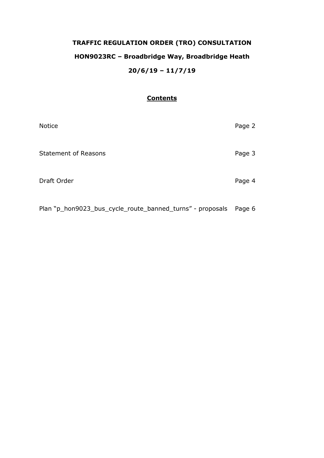# **TRAFFIC REGULATION ORDER (TRO) CONSULTATION HON9023RC – Broadbridge Way, Broadbridge Heath 20/6/19 – 11/7/19**

## **Contents**

| Notice                      | Page 2 |
|-----------------------------|--------|
| <b>Statement of Reasons</b> | Page 3 |
| Draft Order                 | Page 4 |
|                             |        |

Plan "p\_hon9023\_bus\_cycle\_route\_banned\_turns" - proposals Page 6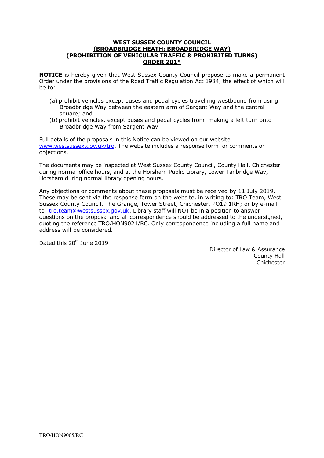### **WEST SUSSEX COUNTY COUNCIL (BROADBRIDGE HEATH: BROADBRIDGE WAY) (PROHIBITION OF VEHICULAR TRAFFIC & PROHIBITED TURNS) ORDER 201\***

**NOTICE** is hereby given that West Sussex County Council propose to make a permanent Order under the provisions of the Road Traffic Regulation Act 1984, the effect of which will be to:

- (a) prohibit vehicles except buses and pedal cycles travelling westbound from using Broadbridge Way between the eastern arm of Sargent Way and the central square; and
- (b) prohibit vehicles, except buses and pedal cycles from making a left turn onto Broadbridge Way from Sargent Way

Full details of the proposals in this Notice can be viewed on our website [www.westsussex.gov.uk/tro.](http://www.westsussex.gov.uk/tro) The website includes a response form for comments or objections.

The documents may be inspected at West Sussex County Council, County Hall, Chichester during normal office hours, and at the Horsham Public Library, Lower Tanbridge Way, Horsham during normal library opening hours.

Any objections or comments about these proposals must be received by 11 July 2019. These may be sent via the response form on the website, in writing to: TRO Team, West Sussex County Council, The Grange, Tower Street, Chichester, PO19 1RH; or by e-mail to: [tro.team@westsussex.gov.uk.](mailto:tro.team@westsussex.gov.uk) Library staff will NOT be in a position to answer questions on the proposal and all correspondence should be addressed to the undersigned, quoting the reference TRO/HON9021/RC. Only correspondence including a full name and address will be considered.

Dated this 20<sup>th</sup> June 2019

Director of Law & Assurance County Hall Chichester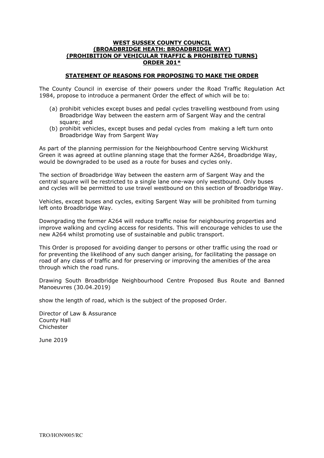## **WEST SUSSEX COUNTY COUNCIL (BROADBRIDGE HEATH: BROADBRIDGE WAY) (PROHIBITION OF VEHICULAR TRAFFIC & PROHIBITED TURNS) ORDER 201\***

## **STATEMENT OF REASONS FOR PROPOSING TO MAKE THE ORDER**

The County Council in exercise of their powers under the Road Traffic Regulation Act 1984, propose to introduce a permanent Order the effect of which will be to:

- (a) prohibit vehicles except buses and pedal cycles travelling westbound from using Broadbridge Way between the eastern arm of Sargent Way and the central square; and
- (b) prohibit vehicles, except buses and pedal cycles from making a left turn onto Broadbridge Way from Sargent Way

As part of the planning permission for the Neighbourhood Centre serving Wickhurst Green it was agreed at outline planning stage that the former A264, Broadbridge Way, would be downgraded to be used as a route for buses and cycles only.

The section of Broadbridge Way between the eastern arm of Sargent Way and the central square will be restricted to a single lane one-way only westbound. Only buses and cycles will be permitted to use travel westbound on this section of Broadbridge Way.

Vehicles, except buses and cycles, exiting Sargent Way will be prohibited from turning left onto Broadbridge Way.

Downgrading the former A264 will reduce traffic noise for neighbouring properties and improve walking and cycling access for residents. This will encourage vehicles to use the new A264 whilst promoting use of sustainable and public transport.

This Order is proposed for avoiding danger to persons or other traffic using the road or for preventing the likelihood of any such danger arising, for facilitating the passage on road of any class of traffic and for preserving or improving the amenities of the area through which the road runs.

Drawing South Broadbridge Neighbourhood Centre Proposed Bus Route and Banned Manoeuvres (30.04.2019)

show the length of road, which is the subject of the proposed Order.

Director of Law & Assurance County Hall Chichester

June 2019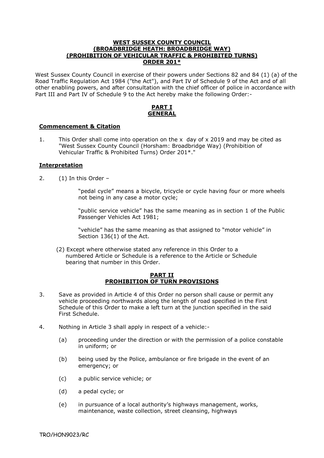#### **WEST SUSSEX COUNTY COUNCIL (BROADBRIDGE HEATH: BROADBRIDGE WAY) (PROHIBITION OF VEHICULAR TRAFFIC & PROHIBITED TURNS) ORDER 201\***

West Sussex County Council in exercise of their powers under Sections 82 and 84 (1) (a) of the Road Traffic Regulation Act 1984 ("the Act"), and Part IV of Schedule 9 of the Act and of all other enabling powers, and after consultation with the chief officer of police in accordance with Part III and Part IV of Schedule 9 to the Act hereby make the following Order:-

## **PART I GENERAL**

## **Commencement & Citation**

1. This Order shall come into operation on the x day of x 2019 and may be cited as "West Sussex County Council (Horsham: Broadbridge Way) (Prohibition of Vehicular Traffic & Prohibited Turns) Order 201\*."

## **Interpretation**

2. (1) In this Order –

 "pedal cycle" means a bicycle, tricycle or cycle having four or more wheels not being in any case a motor cycle;

 "public service vehicle" has the same meaning as in section 1 of the Public Passenger Vehicles Act 1981;

 "vehicle" has the same meaning as that assigned to "motor vehicle" in Section 136(1) of the Act.

 (2) Except where otherwise stated any reference in this Order to a numbered Article or Schedule is a reference to the Article or Schedule bearing that number in this Order.

#### **PART II PROHIBITION OF TURN PROVISIONS**

- 3. Save as provided in Article 4 of this Order no person shall cause or permit any vehicle proceeding northwards along the length of road specified in the First Schedule of this Order to make a left turn at the junction specified in the said First Schedule.
- 4. Nothing in Article 3 shall apply in respect of a vehicle:-
	- (a) proceeding under the direction or with the permission of a police constable in uniform; or
	- (b) being used by the Police, ambulance or fire brigade in the event of an emergency; or
	- (c) a public service vehicle; or
	- (d) a pedal cycle; or
	- (e) in pursuance of a local authority's highways management, works, maintenance, waste collection, street cleansing, highways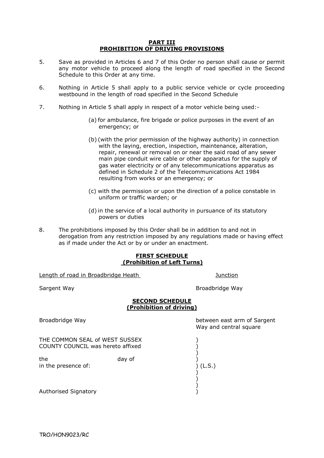#### **PART III PROHIBITION OF DRIVING PROVISIONS**

- 5. Save as provided in Articles 6 and 7 of this Order no person shall cause or permit any motor vehicle to proceed along the length of road specified in the Second Schedule to this Order at any time.
- 6. Nothing in Article 5 shall apply to a public service vehicle or cycle proceeding westbound in the length of road specified in the Second Schedule
- 7. Nothing in Article 5 shall apply in respect of a motor vehicle being used:-
	- (a) for ambulance, fire brigade or police purposes in the event of an emergency; or
	- (b) (with the prior permission of the highway authority) in connection with the laying, erection, inspection, maintenance, alteration, repair, renewal or removal on or near the said road of any sewer main pipe conduit wire cable or other apparatus for the supply of gas water electricity or of any telecommunications apparatus as defined in Schedule 2 of the Telecommunications Act 1984 resulting from works or an emergency; or
	- (c) with the permission or upon the direction of a police constable in uniform or traffic warden; or
	- (d) in the service of a local authority in pursuance of its statutory powers or duties
- 8. The prohibitions imposed by this Order shall be in addition to and not in derogation from any restriction imposed by any regulations made or having effect as if made under the Act or by or under an enactment.

#### **FIRST SCHEDULE (Prohibition of Left Turns)**

Length of road in Broadbridge Heath Junction

Sargent Way **Broadbridge Way** 

### **SECOND SCHEDULE (Prohibition of driving)**

Broadbridge Way **between east arm of Sargent** 

THE COMMON SEAL of WEST SUSSEX (2008) COUNTY COUNCIL was hereto affixed )

 $)$  ) )

 $)$ the day of (in the presence of: day of ) (L.S.) in the presence of:

Authorised Signatory )

Way and central square

TRO/HON9023/RC